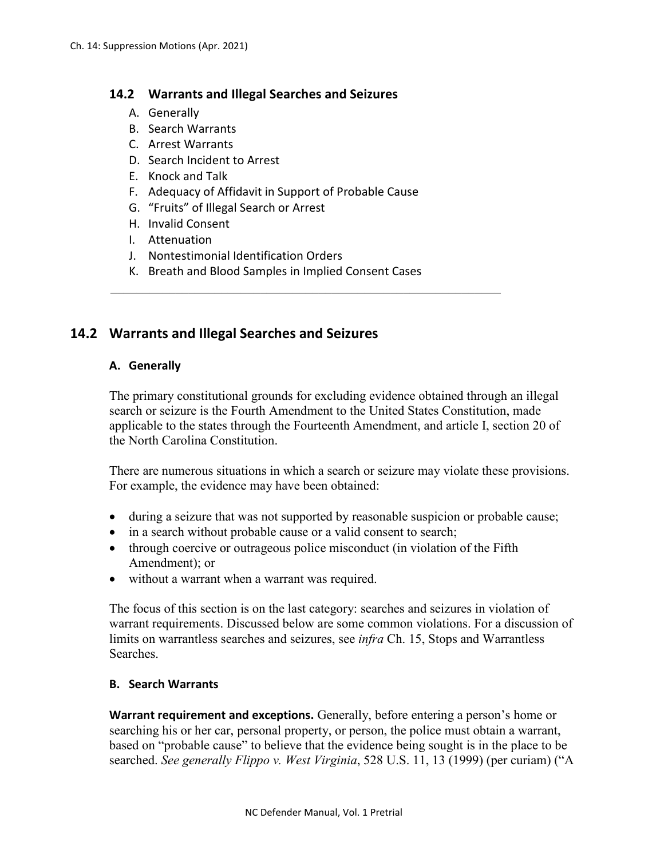### **14.2 Warrants and Illegal Searches and Seizures**

- A. Generally
- B. Search Warrants
- C. Arrest Warrants
- D. Search Incident to Arrest
- E. Knock and Talk
- F. Adequacy of Affidavit in Support of Probable Cause
- G. "Fruits" of Illegal Search or Arrest
- H. Invalid Consent
- I. Attenuation
- J. Nontestimonial Identification Orders
- K. Breath and Blood Samples in Implied Consent Cases

 $\mathcal{L}_\text{max}$  , and the contribution of the contribution of the contribution of the contribution of the contribution of the contribution of the contribution of the contribution of the contribution of the contribution of t

# **14.2 Warrants and Illegal Searches and Seizures**

### **A. Generally**

The primary constitutional grounds for excluding evidence obtained through an illegal search or seizure is the Fourth Amendment to the United States Constitution, made applicable to the states through the Fourteenth Amendment, and article I, section 20 of the North Carolina Constitution.

There are numerous situations in which a search or seizure may violate these provisions. For example, the evidence may have been obtained:

- during a seizure that was not supported by reasonable suspicion or probable cause;
- in a search without probable cause or a valid consent to search;
- through coercive or outrageous police misconduct (in violation of the Fifth Amendment); or
- without a warrant when a warrant was required.

The focus of this section is on the last category: searches and seizures in violation of warrant requirements. Discussed below are some common violations. For a discussion of limits on warrantless searches and seizures, see *infra* Ch. 15, Stops and Warrantless Searches.

### **B. Search Warrants**

**Warrant requirement and exceptions.** Generally, before entering a person's home or searching his or her car, personal property, or person, the police must obtain a warrant, based on "probable cause" to believe that the evidence being sought is in the place to be searched. *See generally Flippo v. West Virginia*, 528 U.S. 11, 13 (1999) (per curiam) ("A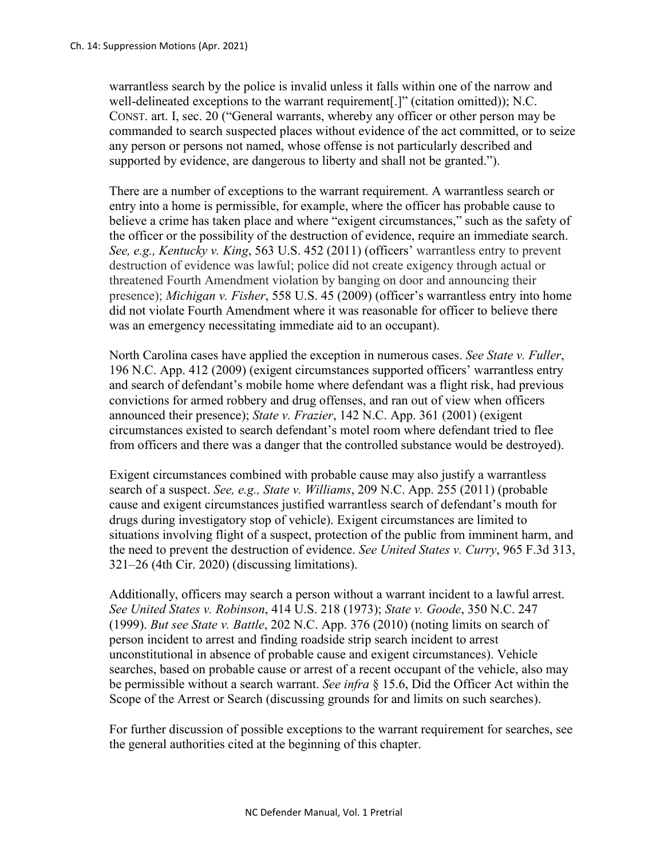warrantless search by the police is invalid unless it falls within one of the narrow and well-delineated exceptions to the warrant requirement[.]" (citation omitted)); N.C. CONST. art. I, sec. 20 ("General warrants, whereby any officer or other person may be commanded to search suspected places without evidence of the act committed, or to seize any person or persons not named, whose offense is not particularly described and supported by evidence, are dangerous to liberty and shall not be granted.").

There are a number of exceptions to the warrant requirement. A warrantless search or entry into a home is permissible, for example, where the officer has probable cause to believe a crime has taken place and where "exigent circumstances," such as the safety of the officer or the possibility of the destruction of evidence, require an immediate search. *See, e.g., Kentucky v. King*, 563 U.S. 452 (2011) (officers' warrantless entry to prevent destruction of evidence was lawful; police did not create exigency through actual or threatened Fourth Amendment violation by banging on door and announcing their presence); *Michigan v. Fisher*, 558 U.S. 45 (2009) (officer's warrantless entry into home did not violate Fourth Amendment where it was reasonable for officer to believe there was an emergency necessitating immediate aid to an occupant).

North Carolina cases have applied the exception in numerous cases. *See State v. Fuller*, 196 N.C. App. 412 (2009) (exigent circumstances supported officers' warrantless entry and search of defendant's mobile home where defendant was a flight risk, had previous convictions for armed robbery and drug offenses, and ran out of view when officers announced their presence); *State v. Frazier*, 142 N.C. App. 361 (2001) (exigent circumstances existed to search defendant's motel room where defendant tried to flee from officers and there was a danger that the controlled substance would be destroyed).

Exigent circumstances combined with probable cause may also justify a warrantless search of a suspect. *See, e.g., State v. Williams*, 209 N.C. App. 255 (2011) (probable cause and exigent circumstances justified warrantless search of defendant's mouth for drugs during investigatory stop of vehicle). Exigent circumstances are limited to situations involving flight of a suspect, protection of the public from imminent harm, and the need to prevent the destruction of evidence. *See United States v. Curry*, 965 F.3d 313, 321–26 (4th Cir. 2020) (discussing limitations).

Additionally, officers may search a person without a warrant incident to a lawful arrest. *See United States v. Robinson*, 414 U.S. 218 (1973); *State v. Goode*, 350 N.C. 247 (1999). *But see State v. Battle*, 202 N.C. App. 376 (2010) (noting limits on search of person incident to arrest and finding roadside strip search incident to arrest unconstitutional in absence of probable cause and exigent circumstances). Vehicle searches, based on probable cause or arrest of a recent occupant of the vehicle, also may be permissible without a search warrant. *See infra* § 15.6, Did the Officer Act within the Scope of the Arrest or Search (discussing grounds for and limits on such searches).

For further discussion of possible exceptions to the warrant requirement for searches, see the general authorities cited at the beginning of this chapter.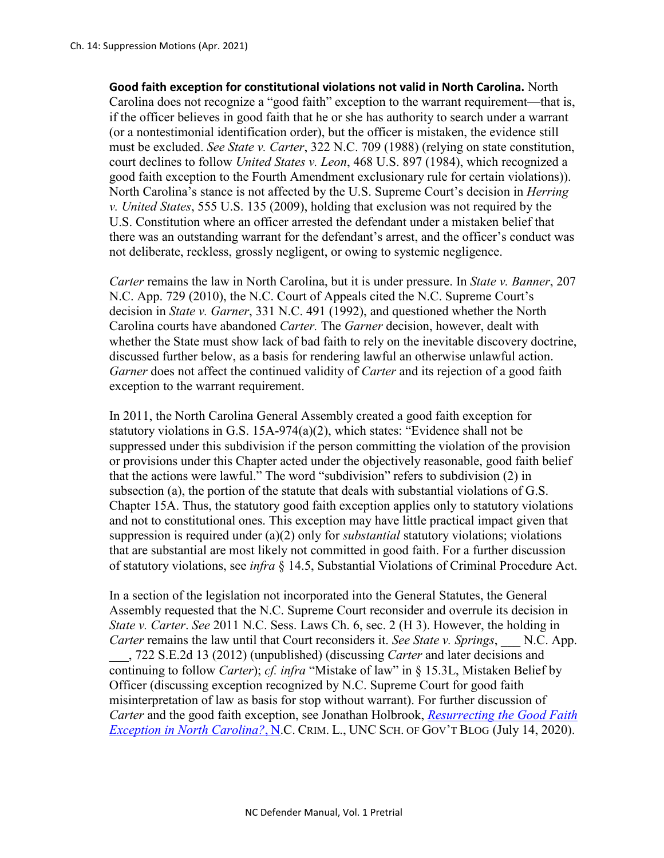**Good faith exception for constitutional violations not valid in North Carolina.** North Carolina does not recognize a "good faith" exception to the warrant requirement—that is, if the officer believes in good faith that he or she has authority to search under a warrant (or a nontestimonial identification order), but the officer is mistaken, the evidence still must be excluded. *See State v. Carter*, 322 N.C. 709 (1988) (relying on state constitution, court declines to follow *United States v. Leon*, 468 U.S. 897 (1984), which recognized a good faith exception to the Fourth Amendment exclusionary rule for certain violations)). North Carolina's stance is not affected by the U.S. Supreme Court's decision in *Herring v. United States*, 555 U.S. 135 (2009), holding that exclusion was not required by the U.S. Constitution where an officer arrested the defendant under a mistaken belief that there was an outstanding warrant for the defendant's arrest, and the officer's conduct was not deliberate, reckless, grossly negligent, or owing to systemic negligence.

*Carter* remains the law in North Carolina, but it is under pressure. In *State v. Banner*, 207 N.C. App. 729 (2010), the N.C. Court of Appeals cited the N.C. Supreme Court's decision in *State v. Garner*, 331 N.C. 491 (1992), and questioned whether the North Carolina courts have abandoned *Carter.* The *Garner* decision, however, dealt with whether the State must show lack of bad faith to rely on the inevitable discovery doctrine, discussed further below, as a basis for rendering lawful an otherwise unlawful action. *Garner* does not affect the continued validity of *Carter* and its rejection of a good faith exception to the warrant requirement.

In 2011, the North Carolina General Assembly created a good faith exception for statutory violations in G.S. 15A-974(a)(2), which states: "Evidence shall not be suppressed under this subdivision if the person committing the violation of the provision or provisions under this Chapter acted under the objectively reasonable, good faith belief that the actions were lawful." The word "subdivision" refers to subdivision (2) in subsection (a), the portion of the statute that deals with substantial violations of G.S. Chapter 15A. Thus, the statutory good faith exception applies only to statutory violations and not to constitutional ones. This exception may have little practical impact given that suppression is required under (a)(2) only for *substantial* statutory violations; violations that are substantial are most likely not committed in good faith. For a further discussion of statutory violations, see *infra* § 14.5, Substantial Violations of Criminal Procedure Act.

In a section of the legislation not incorporated into the General Statutes, the General Assembly requested that the N.C. Supreme Court reconsider and overrule its decision in *State v. Carter*. *See* 2011 N.C. Sess. Laws Ch. 6, sec. 2 (H 3). However, the holding in *Carter* remains the law until that Court reconsiders it. *See State v. Springs*, \_\_\_ N.C. App.

\_\_\_, 722 S.E.2d 13 (2012) (unpublished) (discussing *Carter* and later decisions and continuing to follow *Carter*); *cf. infra* "Mistake of law" in § 15.3L, Mistaken Belief by Officer (discussing exception recognized by N.C. Supreme Court for good faith misinterpretation of law as basis for stop without warrant). For further discussion of *Carter* and the good faith exception, see Jonathan Holbrook, *[Resurrecting the Good Faith](https://nccriminallaw.sog.unc.edu/resurrecting-the-good-faith-exception-in-north-carolina/)  [Exception in North Carolina?](https://nccriminallaw.sog.unc.edu/resurrecting-the-good-faith-exception-in-north-carolina/)*, N.C. CRIM. L., UNC SCH. OF GOV'T BLOG (July 14, 2020).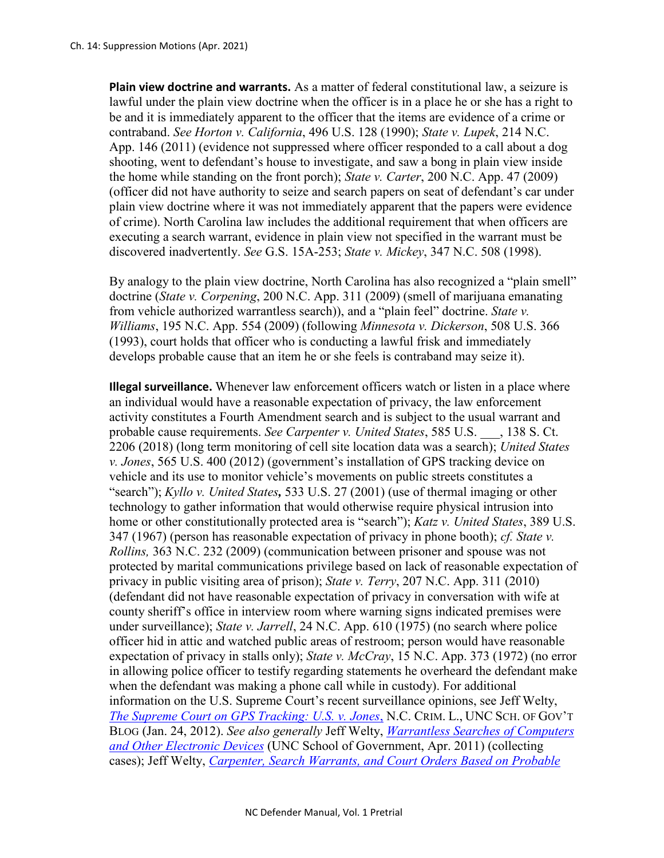**Plain view doctrine and warrants.** As a matter of federal constitutional law, a seizure is lawful under the plain view doctrine when the officer is in a place he or she has a right to be and it is immediately apparent to the officer that the items are evidence of a crime or contraband. *See Horton v. California*, 496 U.S. 128 (1990); *State v. Lupek*, 214 N.C. App. 146 (2011) (evidence not suppressed where officer responded to a call about a dog shooting, went to defendant's house to investigate, and saw a bong in plain view inside the home while standing on the front porch); *State v. Carter*, 200 N.C. App. 47 (2009) (officer did not have authority to seize and search papers on seat of defendant's car under plain view doctrine where it was not immediately apparent that the papers were evidence of crime). North Carolina law includes the additional requirement that when officers are executing a search warrant, evidence in plain view not specified in the warrant must be discovered inadvertently. *See* G.S. 15A-253; *State v. Mickey*, 347 N.C. 508 (1998).

By analogy to the plain view doctrine, North Carolina has also recognized a "plain smell" doctrine (*State v. Corpening*, 200 N.C. App. 311 (2009) (smell of marijuana emanating from vehicle authorized warrantless search)), and a "plain feel" doctrine. *State v. Williams*, 195 N.C. App. 554 (2009) (following *Minnesota v. Dickerson*, 508 U.S. 366 (1993), court holds that officer who is conducting a lawful frisk and immediately develops probable cause that an item he or she feels is contraband may seize it).

**Illegal surveillance.** Whenever law enforcement officers watch or listen in a place where an individual would have a reasonable expectation of privacy, the law enforcement activity constitutes a Fourth Amendment search and is subject to the usual warrant and probable cause requirements. *See Carpenter v. United States*, 585 U.S. \_\_\_, 138 S. Ct. 2206 (2018) (long term monitoring of cell site location data was a search); *United States v. Jones*, 565 U.S. 400 (2012) (government's installation of GPS tracking device on vehicle and its use to monitor vehicle's movements on public streets constitutes a "search"); *Kyllo v. United States*, 533 U.S. 27 (2001) (use of thermal imaging or other technology to gather information that would otherwise require physical intrusion into home or other constitutionally protected area is "search"); *Katz v. United States*, 389 U.S. 347 (1967) (person has reasonable expectation of privacy in phone booth); *cf. State v. Rollins,* 363 N.C. 232 (2009) (communication between prisoner and spouse was not protected by marital communications privilege based on lack of reasonable expectation of privacy in public visiting area of prison); *State v. Terry*, 207 N.C. App. 311 (2010) (defendant did not have reasonable expectation of privacy in conversation with wife at county sheriff's office in interview room where warning signs indicated premises were under surveillance); *State v. Jarrell*, 24 N.C. App. 610 (1975) (no search where police officer hid in attic and watched public areas of restroom; person would have reasonable expectation of privacy in stalls only); *State v. McCray*, 15 N.C. App. 373 (1972) (no error in allowing police officer to testify regarding statements he overheard the defendant make when the defendant was making a phone call while in custody). For additional information on the U.S. Supreme Court's recent surveillance opinions, see Jeff Welty, *[The Supreme Court on GPS Tracking: U.S. v. Jones](https://nccriminallaw.sog.unc.edu/the-supreme-court-on-gps-tracking-u-s-v-jones/)*, N.C. CRIM. L., UNC SCH. OF GOV'T BLOG (Jan. 24, 2012). *See also generally* Jeff Welty, *[Warrantless Searches of Computers](https://nccriminallaw.sog.unc.edu/wp-content/uploads/2011/05/2011-05-PDF-of-Handout-re-Warrantless-Searches.pdf)  [and Other Electronic Devices](https://nccriminallaw.sog.unc.edu/wp-content/uploads/2011/05/2011-05-PDF-of-Handout-re-Warrantless-Searches.pdf)* (UNC School of Government, Apr. 2011) (collecting cases); Jeff Welty, *[Carpenter, Search Warrants, and Court Orders Based on Probable](https://nccriminallaw.sog.unc.edu/carpenter-search-warrants-and-court-orders-based-on-probable-cause/)*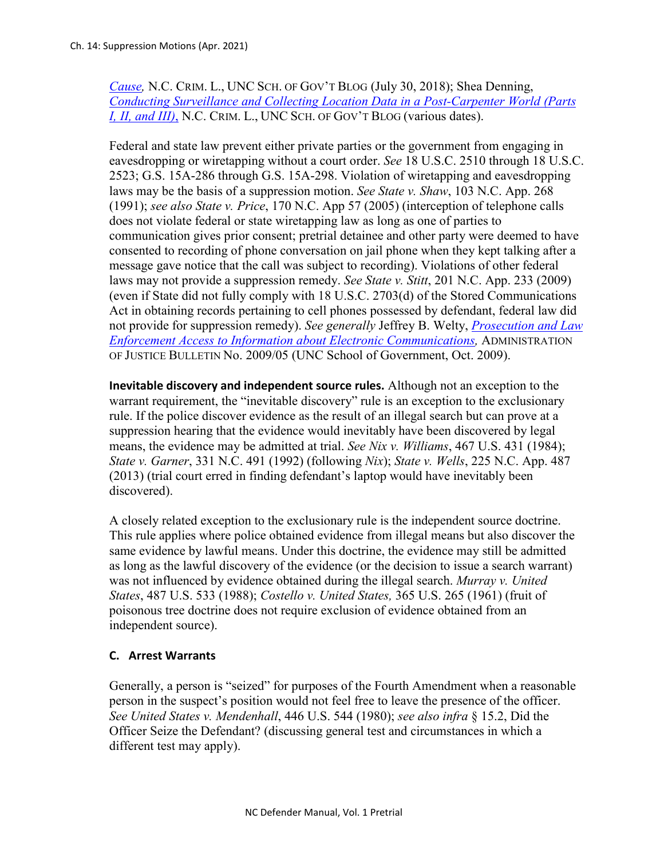*[Cause,](https://nccriminallaw.sog.unc.edu/carpenter-search-warrants-and-court-orders-based-on-probable-cause/)* N.C. CRIM. L., UNC SCH. OF GOV'T BLOG (July 30, 2018); Shea Denning, *[Conducting Surveillance and Collecting Location Data in a Post-Carpenter World \(Parts](https://nccriminallaw.sog.unc.edu/?s=conducting+surveillance+and+collecting+location+data)  [I, II, and III\)](https://nccriminallaw.sog.unc.edu/?s=conducting+surveillance+and+collecting+location+data)*, N.C. CRIM. L., UNC SCH. OF GOV'T BLOG (various dates).

Federal and state law prevent either private parties or the government from engaging in eavesdropping or wiretapping without a court order. *See* 18 U.S.C. 2510 through 18 U.S.C. 2523; G.S. 15A-286 through G.S. 15A-298. Violation of wiretapping and eavesdropping laws may be the basis of a suppression motion. *See State v. Shaw*, 103 N.C. App. 268 (1991); *see also State v. Price*, 170 N.C. App 57 (2005) (interception of telephone calls does not violate federal or state wiretapping law as long as one of parties to communication gives prior consent; pretrial detainee and other party were deemed to have consented to recording of phone conversation on jail phone when they kept talking after a message gave notice that the call was subject to recording). Violations of other federal laws may not provide a suppression remedy. *See State v. Stitt*, 201 N.C. App. 233 (2009) (even if State did not fully comply with 18 U.S.C. 2703(d) of the Stored Communications Act in obtaining records pertaining to cell phones possessed by defendant, federal law did not provide for suppression remedy). *See generally* Jeffrey B. Welty, *[Prosecution and Law](https://www.sog.unc.edu/sites/www.sog.unc.edu/files/reports/aojb0905.pdf)  [Enforcement Access to Information about Electronic Communications,](https://www.sog.unc.edu/sites/www.sog.unc.edu/files/reports/aojb0905.pdf)* ADMINISTRATION OF JUSTICE BULLETIN No. 2009/05 (UNC School of Government, Oct. 2009).

**Inevitable discovery and independent source rules.** Although not an exception to the warrant requirement, the "inevitable discovery" rule is an exception to the exclusionary rule. If the police discover evidence as the result of an illegal search but can prove at a suppression hearing that the evidence would inevitably have been discovered by legal means, the evidence may be admitted at trial. *See Nix v. Williams*, 467 U.S. 431 (1984); *State v. Garner*, 331 N.C. 491 (1992) (following *Nix*); *State v. Wells*, 225 N.C. App. 487 (2013) (trial court erred in finding defendant's laptop would have inevitably been discovered).

A closely related exception to the exclusionary rule is the independent source doctrine. This rule applies where police obtained evidence from illegal means but also discover the same evidence by lawful means. Under this doctrine, the evidence may still be admitted as long as the lawful discovery of the evidence (or the decision to issue a search warrant) was not influenced by evidence obtained during the illegal search. *Murray v. United States*, 487 U.S. 533 (1988); *Costello v. United States,* 365 U.S. 265 (1961) (fruit of poisonous tree doctrine does not require exclusion of evidence obtained from an independent source).

# **C. Arrest Warrants**

Generally, a person is "seized" for purposes of the Fourth Amendment when a reasonable person in the suspect's position would not feel free to leave the presence of the officer. *See United States v. Mendenhall*, 446 U.S. 544 (1980); *see also infra* § 15.2, Did the Officer Seize the Defendant? (discussing general test and circumstances in which a different test may apply).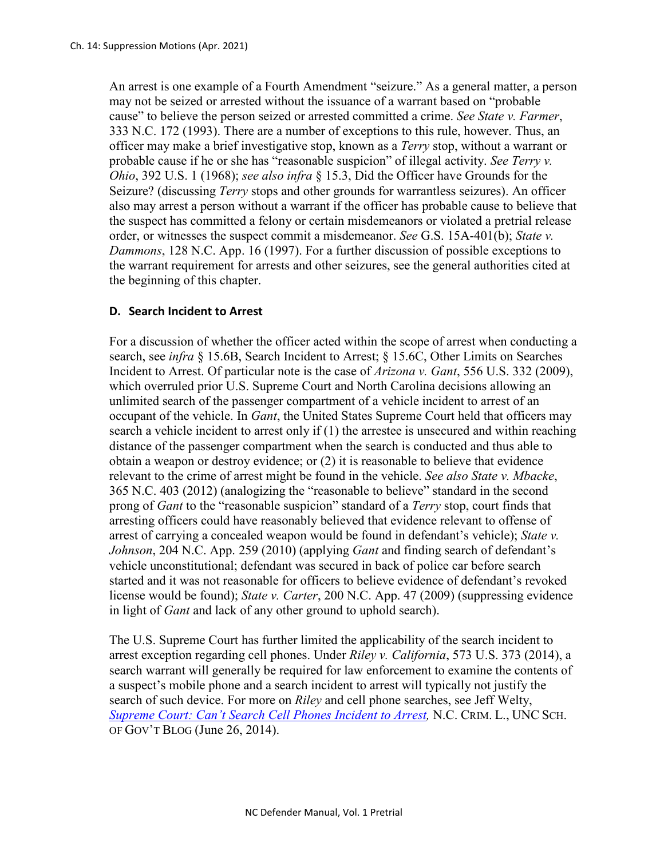An arrest is one example of a Fourth Amendment "seizure." As a general matter, a person may not be seized or arrested without the issuance of a warrant based on "probable cause" to believe the person seized or arrested committed a crime. *See State v. Farmer*, 333 N.C. 172 (1993). There are a number of exceptions to this rule, however. Thus, an officer may make a brief investigative stop, known as a *Terry* stop, without a warrant or probable cause if he or she has "reasonable suspicion" of illegal activity. *See Terry v. Ohio*, 392 U.S. 1 (1968); *see also infra* § 15.3, Did the Officer have Grounds for the Seizure? (discussing *Terry* stops and other grounds for warrantless seizures). An officer also may arrest a person without a warrant if the officer has probable cause to believe that the suspect has committed a felony or certain misdemeanors or violated a pretrial release order, or witnesses the suspect commit a misdemeanor. *See* G.S. 15A-401(b); *State v. Dammons*, 128 N.C. App. 16 (1997). For a further discussion of possible exceptions to the warrant requirement for arrests and other seizures, see the general authorities cited at the beginning of this chapter.

### **D. Search Incident to Arrest**

For a discussion of whether the officer acted within the scope of arrest when conducting a search, see *infra* § 15.6B, Search Incident to Arrest; § 15.6C, Other Limits on Searches Incident to Arrest. Of particular note is the case of *Arizona v. Gant*, 556 U.S. 332 (2009), which overruled prior U.S. Supreme Court and North Carolina decisions allowing an unlimited search of the passenger compartment of a vehicle incident to arrest of an occupant of the vehicle. In *Gant*, the United States Supreme Court held that officers may search a vehicle incident to arrest only if  $(1)$  the arrestee is unsecured and within reaching distance of the passenger compartment when the search is conducted and thus able to obtain a weapon or destroy evidence; or (2) it is reasonable to believe that evidence relevant to the crime of arrest might be found in the vehicle. *See also State v. Mbacke*, 365 N.C. 403 (2012) (analogizing the "reasonable to believe" standard in the second prong of *Gant* to the "reasonable suspicion" standard of a *Terry* stop, court finds that arresting officers could have reasonably believed that evidence relevant to offense of arrest of carrying a concealed weapon would be found in defendant's vehicle); *State v. Johnson*, 204 N.C. App. 259 (2010) (applying *Gant* and finding search of defendant's vehicle unconstitutional; defendant was secured in back of police car before search started and it was not reasonable for officers to believe evidence of defendant's revoked license would be found); *State v. Carter*, 200 N.C. App. 47 (2009) (suppressing evidence in light of *Gant* and lack of any other ground to uphold search).

The U.S. Supreme Court has further limited the applicability of the search incident to arrest exception regarding cell phones. Under *Riley v. California*, 573 U.S. 373 (2014), a search warrant will generally be required for law enforcement to examine the contents of a suspect's mobile phone and a search incident to arrest will typically not justify the search of such device. For more on *Riley* and cell phone searches, see Jeff Welty, *[Supreme Court: Can't Search Cell Phones Incident to Arrest,](https://nccriminallaw.sog.unc.edu/supreme-court-cant-search-cell-phones-incident-to-arrest/) N.C. CRIM. L., UNC SCH.* OF GOV'T BLOG (June 26, 2014).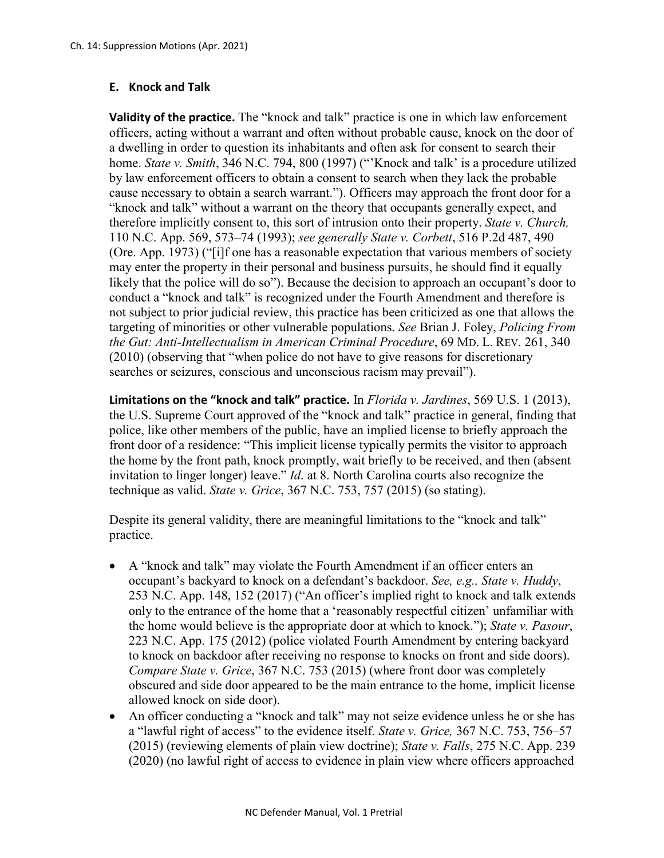### **E. Knock and Talk**

**Validity of the practice.** The "knock and talk" practice is one in which law enforcement officers, acting without a warrant and often without probable cause, knock on the door of a dwelling in order to question its inhabitants and often ask for consent to search their home. *State v. Smith*, 346 N.C. 794, 800 (1997) ("'Knock and talk' is a procedure utilized by law enforcement officers to obtain a consent to search when they lack the probable cause necessary to obtain a search warrant."). Officers may approach the front door for a "knock and talk" without a warrant on the theory that occupants generally expect, and therefore implicitly consent to, this sort of intrusion onto their property. *State v. Church,*  110 N.C. App. 569, 573–74 (1993); *see generally State v. Corbett*, 516 P.2d 487, 490 (Ore. App. 1973) ("[i]f one has a reasonable expectation that various members of society may enter the property in their personal and business pursuits, he should find it equally likely that the police will do so"). Because the decision to approach an occupant's door to conduct a "knock and talk" is recognized under the Fourth Amendment and therefore is not subject to prior judicial review, this practice has been criticized as one that allows the targeting of minorities or other vulnerable populations. *See* Brian J. Foley, *Policing From the Gut: Anti-Intellectualism in American Criminal Procedure*, 69 MD. L. REV. 261, 340 (2010) (observing that "when police do not have to give reasons for discretionary searches or seizures, conscious and unconscious racism may prevail").

**Limitations on the "knock and talk" practice.** In *Florida v. Jardines*, 569 U.S. 1 (2013), the U.S. Supreme Court approved of the "knock and talk" practice in general, finding that police, like other members of the public, have an implied license to briefly approach the front door of a residence: "This implicit license typically permits the visitor to approach the home by the front path, knock promptly, wait briefly to be received, and then (absent invitation to linger longer) leave." *Id*. at 8. North Carolina courts also recognize the technique as valid. *State v. Grice*, 367 N.C. 753, 757 (2015) (so stating).

Despite its general validity, there are meaningful limitations to the "knock and talk" practice.

- A "knock and talk" may violate the Fourth Amendment if an officer enters an occupant's backyard to knock on a defendant's backdoor. *See, e.g., State v. Huddy*, 253 N.C. App. 148, 152 (2017) ("An officer's implied right to knock and talk extends only to the entrance of the home that a 'reasonably respectful citizen' unfamiliar with the home would believe is the appropriate door at which to knock."); *State v. Pasour*, 223 N.C. App. 175 (2012) (police violated Fourth Amendment by entering backyard to knock on backdoor after receiving no response to knocks on front and side doors). *Compare State v. Grice*, 367 N.C. 753 (2015) (where front door was completely obscured and side door appeared to be the main entrance to the home, implicit license allowed knock on side door).
- An officer conducting a "knock and talk" may not seize evidence unless he or she has a "lawful right of access" to the evidence itself. *State v. Grice,* 367 N.C. 753, 756–57 (2015) (reviewing elements of plain view doctrine); *State v. Falls*, 275 N.C. App. 239 (2020) (no lawful right of access to evidence in plain view where officers approached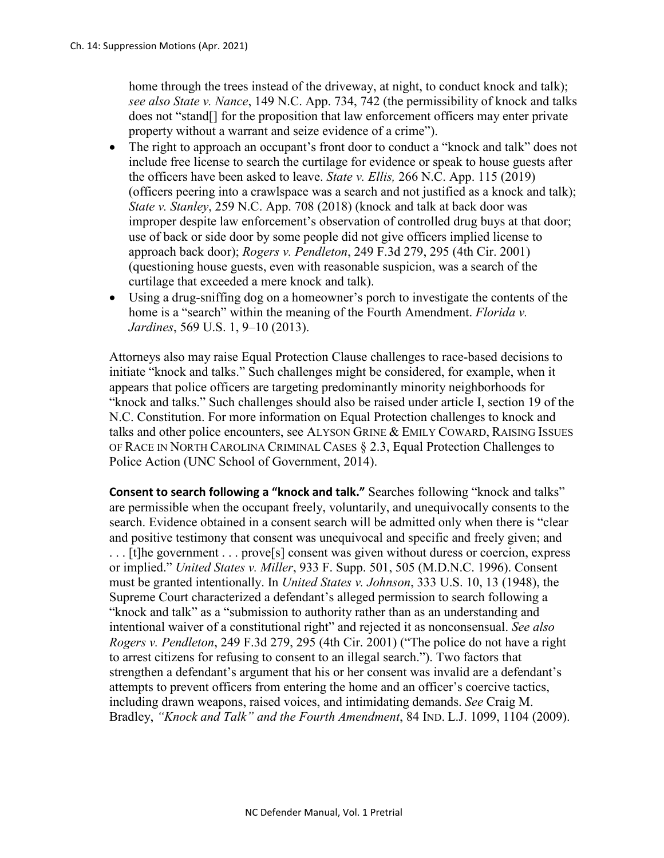home through the trees instead of the driveway, at night, to conduct knock and talk); *see also State v. Nance*, 149 N.C. App. 734, 742 (the permissibility of knock and talks does not "stand[] for the proposition that law enforcement officers may enter private property without a warrant and seize evidence of a crime").

- The right to approach an occupant's front door to conduct a "knock and talk" does not include free license to search the curtilage for evidence or speak to house guests after the officers have been asked to leave. *State v. Ellis,* 266 N.C. App. 115 (2019) (officers peering into a crawlspace was a search and not justified as a knock and talk); *State v. Stanley*, 259 N.C. App. 708 (2018) (knock and talk at back door was improper despite law enforcement's observation of controlled drug buys at that door; use of back or side door by some people did not give officers implied license to approach back door); *Rogers v. Pendleton*, 249 F.3d 279, 295 (4th Cir. 2001) (questioning house guests, even with reasonable suspicion, was a search of the curtilage that exceeded a mere knock and talk).
- Using a drug-sniffing dog on a homeowner's porch to investigate the contents of the home is a "search" within the meaning of the Fourth Amendment. *Florida v. Jardines*, 569 U.S. 1, 9–10 (2013).

Attorneys also may raise Equal Protection Clause challenges to race-based decisions to initiate "knock and talks." Such challenges might be considered, for example, when it appears that police officers are targeting predominantly minority neighborhoods for "knock and talks." Such challenges should also be raised under article I, section 19 of the N.C. Constitution. For more information on Equal Protection challenges to knock and talks and other police encounters, see ALYSON GRINE & EMILY COWARD, RAISING ISSUES OF RACE IN NORTH CAROLINA CRIMINAL CASES § 2.3, Equal Protection Challenges to Police Action (UNC School of Government, 2014).

**Consent to search following a "knock and talk."** Searches following "knock and talks" are permissible when the occupant freely, voluntarily, and unequivocally consents to the search. Evidence obtained in a consent search will be admitted only when there is "clear and positive testimony that consent was unequivocal and specific and freely given; and . . . [t]he government . . . prove[s] consent was given without duress or coercion, express or implied." *United States v. Miller*, 933 F. Supp. 501, 505 (M.D.N.C. 1996). Consent must be granted intentionally. In *United States v. Johnson*, 333 U.S. 10, 13 (1948), the Supreme Court characterized a defendant's alleged permission to search following a "knock and talk" as a "submission to authority rather than as an understanding and intentional waiver of a constitutional right" and rejected it as nonconsensual. *See also Rogers v. Pendleton*, 249 F.3d 279, 295 (4th Cir. 2001) ("The police do not have a right to arrest citizens for refusing to consent to an illegal search."). Two factors that strengthen a defendant's argument that his or her consent was invalid are a defendant's attempts to prevent officers from entering the home and an officer's coercive tactics, including drawn weapons, raised voices, and intimidating demands. *See* Craig M. Bradley, *"Knock and Talk" and the Fourth Amendment*, 84 IND. L.J. 1099, 1104 (2009).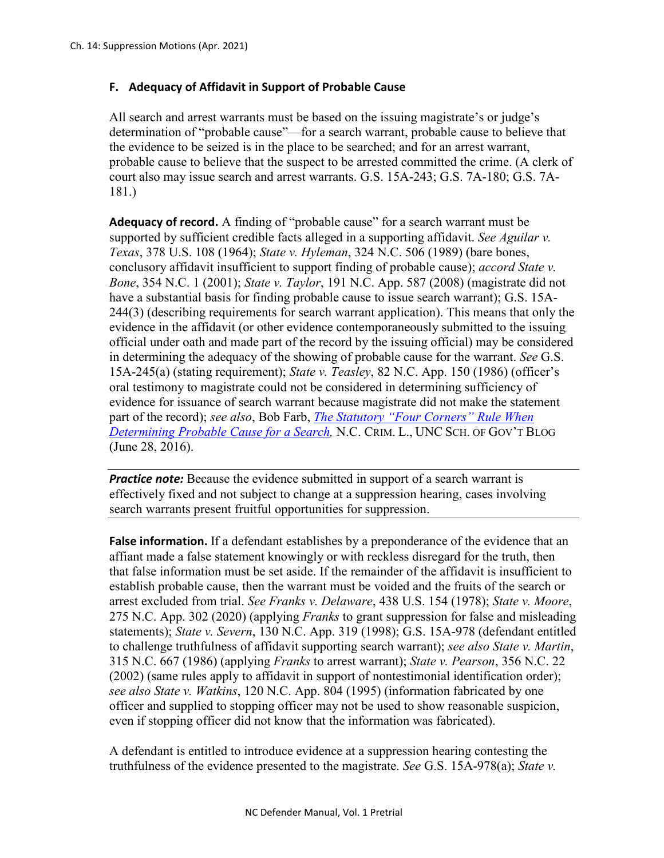# **F. Adequacy of Affidavit in Support of Probable Cause**

All search and arrest warrants must be based on the issuing magistrate's or judge's determination of "probable cause"—for a search warrant, probable cause to believe that the evidence to be seized is in the place to be searched; and for an arrest warrant, probable cause to believe that the suspect to be arrested committed the crime. (A clerk of court also may issue search and arrest warrants. G.S. 15A-243; G.S. 7A-180; G.S. 7A-181.)

**Adequacy of record.** A finding of "probable cause" for a search warrant must be supported by sufficient credible facts alleged in a supporting affidavit. *See Aguilar v. Texas*, 378 U.S. 108 (1964); *State v. Hyleman*, 324 N.C. 506 (1989) (bare bones, conclusory affidavit insufficient to support finding of probable cause); *accord State v. Bone*, 354 N.C. 1 (2001); *State v. Taylor*, 191 N.C. App. 587 (2008) (magistrate did not have a substantial basis for finding probable cause to issue search warrant); G.S. 15A-244(3) (describing requirements for search warrant application). This means that only the evidence in the affidavit (or other evidence contemporaneously submitted to the issuing official under oath and made part of the record by the issuing official) may be considered in determining the adequacy of the showing of probable cause for the warrant. *See* G.S. 15A-245(a) (stating requirement); *State v. Teasley*, 82 N.C. App. 150 (1986) (officer's oral testimony to magistrate could not be considered in determining sufficiency of evidence for issuance of search warrant because magistrate did not make the statement part of the record); *see also*, Bob Farb, *[The Statutory "Four Corners" Rule When](https://nccriminallaw.sog.unc.edu/statutory-four-corners-rule-determining-probable-cause-search-warrant/)  [Determining Probable Cause for a Search,](https://nccriminallaw.sog.unc.edu/statutory-four-corners-rule-determining-probable-cause-search-warrant/)* N.C. CRIM. L., UNC SCH. OF GOV'T BLOG (June 28, 2016).

*Practice note:* Because the evidence submitted in support of a search warrant is effectively fixed and not subject to change at a suppression hearing, cases involving search warrants present fruitful opportunities for suppression.

**False information.** If a defendant establishes by a preponderance of the evidence that an affiant made a false statement knowingly or with reckless disregard for the truth, then that false information must be set aside. If the remainder of the affidavit is insufficient to establish probable cause, then the warrant must be voided and the fruits of the search or arrest excluded from trial. *See Franks v. Delaware*, 438 U.S. 154 (1978); *State v. Moore*, 275 N.C. App. 302 (2020) (applying *Franks* to grant suppression for false and misleading statements); *State v. Severn*, 130 N.C. App. 319 (1998); G.S. 15A-978 (defendant entitled to challenge truthfulness of affidavit supporting search warrant); *see also State v. Martin*, 315 N.C. 667 (1986) (applying *Franks* to arrest warrant); *State v. Pearson*, 356 N.C. 22 (2002) (same rules apply to affidavit in support of nontestimonial identification order); *see also State v. Watkins*, 120 N.C. App. 804 (1995) (information fabricated by one officer and supplied to stopping officer may not be used to show reasonable suspicion, even if stopping officer did not know that the information was fabricated).

A defendant is entitled to introduce evidence at a suppression hearing contesting the truthfulness of the evidence presented to the magistrate. *See* G.S. 15A-978(a); *State v.*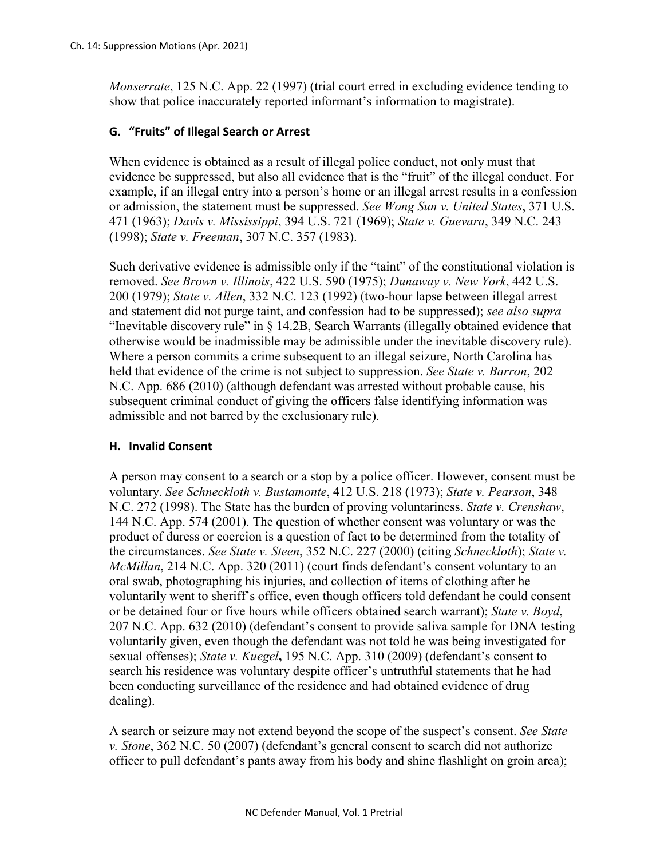*Monserrate*, 125 N.C. App. 22 (1997) (trial court erred in excluding evidence tending to show that police inaccurately reported informant's information to magistrate).

# **G. "Fruits" of Illegal Search or Arrest**

When evidence is obtained as a result of illegal police conduct, not only must that evidence be suppressed, but also all evidence that is the "fruit" of the illegal conduct. For example, if an illegal entry into a person's home or an illegal arrest results in a confession or admission, the statement must be suppressed. *See Wong Sun v. United States*, 371 U.S. 471 (1963); *Davis v. Mississippi*, 394 U.S. 721 (1969); *State v. Guevara*, 349 N.C. 243 (1998); *State v. Freeman*, 307 N.C. 357 (1983).

Such derivative evidence is admissible only if the "taint" of the constitutional violation is removed. *See Brown v. Illinois*, 422 U.S. 590 (1975); *Dunaway v. New York*, 442 U.S. 200 (1979); *State v. Allen*, 332 N.C. 123 (1992) (two-hour lapse between illegal arrest and statement did not purge taint, and confession had to be suppressed); *see also supra*  "Inevitable discovery rule" in § 14.2B, Search Warrants (illegally obtained evidence that otherwise would be inadmissible may be admissible under the inevitable discovery rule). Where a person commits a crime subsequent to an illegal seizure, North Carolina has held that evidence of the crime is not subject to suppression. *See State v. Barron*, 202 N.C. App. 686 (2010) (although defendant was arrested without probable cause, his subsequent criminal conduct of giving the officers false identifying information was admissible and not barred by the exclusionary rule).

### **H. Invalid Consent**

A person may consent to a search or a stop by a police officer. However, consent must be voluntary. *See Schneckloth v. Bustamonte*, 412 U.S. 218 (1973); *State v. Pearson*, 348 N.C. 272 (1998). The State has the burden of proving voluntariness. *State v. Crenshaw*, 144 N.C. App. 574 (2001). The question of whether consent was voluntary or was the product of duress or coercion is a question of fact to be determined from the totality of the circumstances. *See State v. Steen*, 352 N.C. 227 (2000) (citing *Schneckloth*); *State v. McMillan*, 214 N.C. App. 320 (2011) (court finds defendant's consent voluntary to an oral swab, photographing his injuries, and collection of items of clothing after he voluntarily went to sheriff's office, even though officers told defendant he could consent or be detained four or five hours while officers obtained search warrant); *State v. Boyd*, 207 N.C. App. 632 (2010) (defendant's consent to provide saliva sample for DNA testing voluntarily given, even though the defendant was not told he was being investigated for sexual offenses); *State v. Kuegel***,** 195 N.C. App. 310 (2009) (defendant's consent to search his residence was voluntary despite officer's untruthful statements that he had been conducting surveillance of the residence and had obtained evidence of drug dealing).

A search or seizure may not extend beyond the scope of the suspect's consent. *See State v. Stone*, 362 N.C. 50 (2007) (defendant's general consent to search did not authorize officer to pull defendant's pants away from his body and shine flashlight on groin area);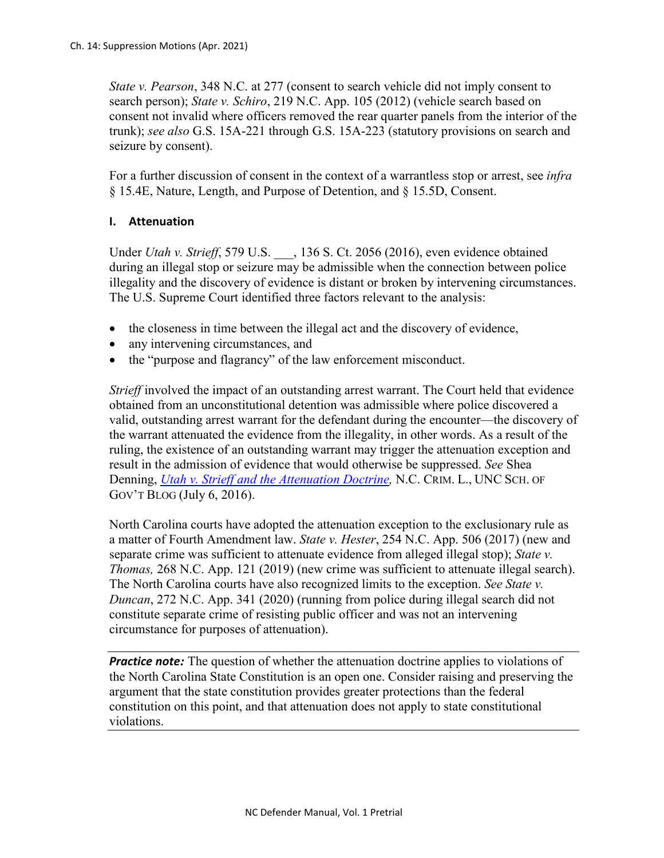*State v. Pearson*, 348 N.C. at 277 (consent to search vehicle did not imply consent to search person); *State v. Schiro*, 219 N.C. App. 105 (2012) (vehicle search based on consent not invalid where officers removed the rear quarter panels from the interior of the trunk); *see also* G.S. 15A-221 through G.S. 15A-223 (statutory provisions on search and seizure by consent).

For a further discussion of consent in the context of a warrantless stop or arrest, see *infra*  § 15.4E, Nature, Length, and Purpose of Detention, and § 15.5D, Consent.

### **I. Attenuation**

Under *Utah v. Strieff*, 579 U.S. , 136 S. Ct. 2056 (2016), even evidence obtained during an illegal stop or seizure may be admissible when the connection between police illegality and the discovery of evidence is distant or broken by intervening circumstances. The U.S. Supreme Court identified three factors relevant to the analysis:

- the closeness in time between the illegal act and the discovery of evidence,
- any intervening circumstances, and
- the "purpose and flagrancy" of the law enforcement misconduct.

*Strieff* involved the impact of an outstanding arrest warrant. The Court held that evidence obtained from an unconstitutional detention was admissible where police discovered a valid, outstanding arrest warrant for the defendant during the encounter—the discovery of the warrant attenuated the evidence from the illegality, in other words. As a result of the ruling, the existence of an outstanding warrant may trigger the attenuation exception and result in the admission of evidence that would otherwise be suppressed. *See* Shea Denning, *[Utah v. Strieff and the Attenuation Doctrine,](https://nccriminallaw.sog.unc.edu/utah-v-strieff-attenuation-doctrine/)* N.C. CRIM. L., UNC SCH. OF GOV'T BLOG (July 6, 2016).

North Carolina courts have adopted the attenuation exception to the exclusionary rule as a matter of Fourth Amendment law. *State v. Hester*, 254 N.C. App. 506 (2017) (new and separate crime was sufficient to attenuate evidence from alleged illegal stop); *State v. Thomas,* 268 N.C. App. 121 (2019) (new crime was sufficient to attenuate illegal search). The North Carolina courts have also recognized limits to the exception. *See State v. Duncan*, 272 N.C. App. 341 (2020) (running from police during illegal search did not constitute separate crime of resisting public officer and was not an intervening circumstance for purposes of attenuation).

*Practice note:* The question of whether the attenuation doctrine applies to violations of the North Carolina State Constitution is an open one. Consider raising and preserving the argument that the state constitution provides greater protections than the federal constitution on this point, and that attenuation does not apply to state constitutional violations.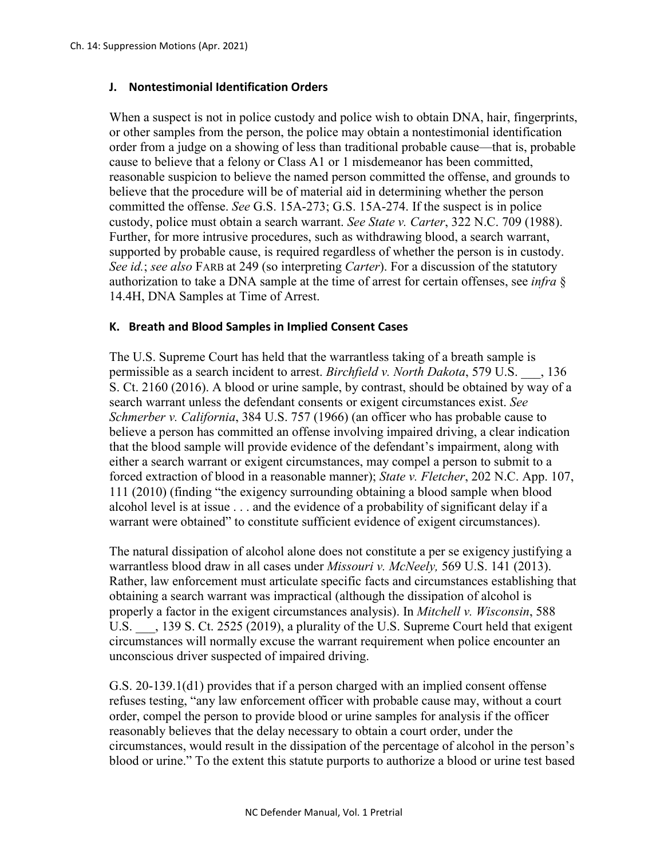### **J. Nontestimonial Identification Orders**

When a suspect is not in police custody and police wish to obtain DNA, hair, fingerprints, or other samples from the person, the police may obtain a nontestimonial identification order from a judge on a showing of less than traditional probable cause—that is, probable cause to believe that a felony or Class A1 or 1 misdemeanor has been committed, reasonable suspicion to believe the named person committed the offense, and grounds to believe that the procedure will be of material aid in determining whether the person committed the offense. *See* G.S. 15A-273; G.S. 15A-274. If the suspect is in police custody, police must obtain a search warrant. *See State v. Carter*, 322 N.C. 709 (1988). Further, for more intrusive procedures, such as withdrawing blood, a search warrant, supported by probable cause, is required regardless of whether the person is in custody. *See id.*; *see also* FARB at 249 (so interpreting *Carter*). For a discussion of the statutory authorization to take a DNA sample at the time of arrest for certain offenses, see *infra* § 14.4H, DNA Samples at Time of Arrest.

### **K. Breath and Blood Samples in Implied Consent Cases**

The U.S. Supreme Court has held that the warrantless taking of a breath sample is permissible as a search incident to arrest. *Birchfield v. North Dakota*, 579 U.S. \_\_\_, 136 S. Ct. 2160 (2016). A blood or urine sample, by contrast, should be obtained by way of a search warrant unless the defendant consents or exigent circumstances exist. *See Schmerber v. California*, 384 U.S. 757 (1966) (an officer who has probable cause to believe a person has committed an offense involving impaired driving, a clear indication that the blood sample will provide evidence of the defendant's impairment, along with either a search warrant or exigent circumstances, may compel a person to submit to a forced extraction of blood in a reasonable manner); *State v. Fletcher*, 202 N.C. App. 107, 111 (2010) (finding "the exigency surrounding obtaining a blood sample when blood alcohol level is at issue . . . and the evidence of a probability of significant delay if a warrant were obtained" to constitute sufficient evidence of exigent circumstances).

The natural dissipation of alcohol alone does not constitute a per se exigency justifying a warrantless blood draw in all cases under *Missouri v. McNeely,* 569 U.S. 141 (2013). Rather, law enforcement must articulate specific facts and circumstances establishing that obtaining a search warrant was impractical (although the dissipation of alcohol is properly a factor in the exigent circumstances analysis). In *Mitchell v. Wisconsin*, 588 U.S.  $\ldots$ , 139 S. Ct. 2525 (2019), a plurality of the U.S. Supreme Court held that exigent circumstances will normally excuse the warrant requirement when police encounter an unconscious driver suspected of impaired driving.

G.S. 20-139.1(d1) provides that if a person charged with an implied consent offense refuses testing, "any law enforcement officer with probable cause may, without a court order, compel the person to provide blood or urine samples for analysis if the officer reasonably believes that the delay necessary to obtain a court order, under the circumstances, would result in the dissipation of the percentage of alcohol in the person's blood or urine." To the extent this statute purports to authorize a blood or urine test based